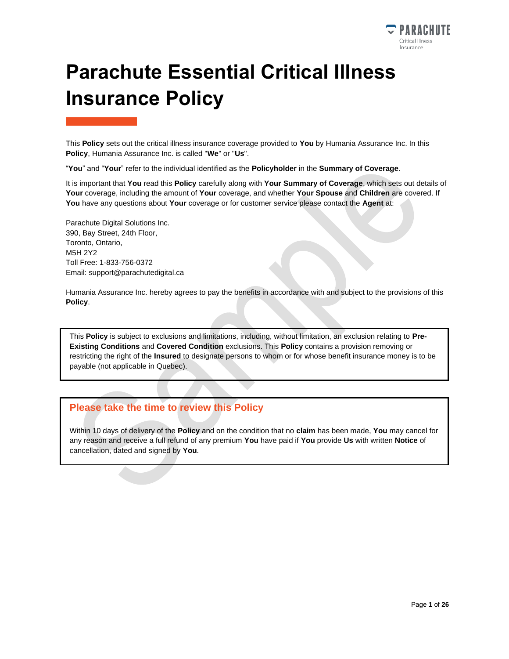

# **Parachute Essential Critical Illness Insurance Policy**

This **Policy** sets out the critical illness insurance coverage provided to **You** by Humania Assurance Inc. In this **Policy**, Humania Assurance Inc. is called "**We**" or "**Us**".

"**You**" and "**Your**" refer to the individual identified as the **Policyholder** in the **Summary of Coverage**.

It is important that **You** read this **Policy** carefully along with **Your Summary of Coverage**, which sets out details of **Your** coverage, including the amount of **Your** coverage, and whether **Your Spouse** and **Children** are covered. If **You** have any questions about **Your** coverage or for customer service please contact the **Agent** at:

Parachute Digital Solutions Inc. 390, Bay Street, 24th Floor, Toronto, Ontario, M5H 2Y2 Toll Free: 1-833-756-0372 Email: support@parachutedigital.ca

Humania Assurance Inc. hereby agrees to pay the benefits in accordance with and subject to the provisions of this **Policy**.

This **Policy** is subject to exclusions and limitations, including, without limitation, an exclusion relating to **Pre-Existing Conditions** and **Covered Condition** exclusions. This **Policy** contains a provision removing or restricting the right of the **Insured** to designate persons to whom or for whose benefit insurance money is to be payable (not applicable in Quebec).

### **Please take the time to review this Policy**

Within 10 days of delivery of the **Policy** and on the condition that no **claim** has been made, **You** may cancel for any reason and receive a full refund of any premium **You** have paid if **You** provide **Us** with written **Notice** of cancellation, dated and signed by **You**.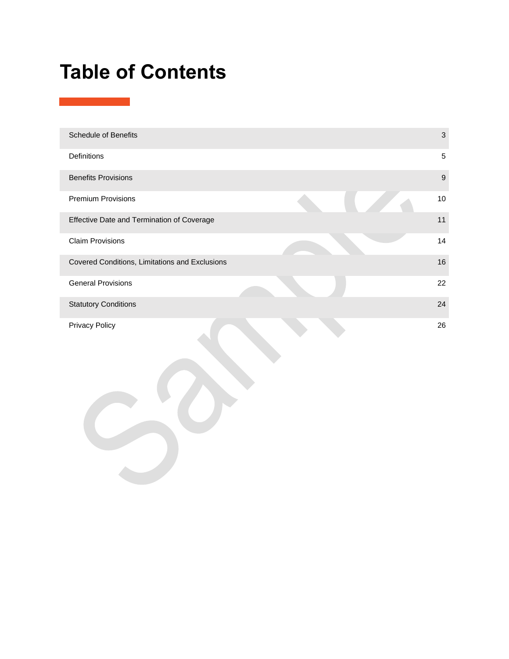# **Table of Contents**

| <b>Schedule of Benefits</b>                    | 3                |
|------------------------------------------------|------------------|
| <b>Definitions</b>                             | 5                |
| <b>Benefits Provisions</b>                     | $\boldsymbol{9}$ |
| <b>Premium Provisions</b>                      | 10               |
| Effective Date and Termination of Coverage     | 11               |
| <b>Claim Provisions</b>                        | 14               |
| Covered Conditions, Limitations and Exclusions | 16               |
| <b>General Provisions</b>                      | 22               |
| <b>Statutory Conditions</b>                    | 24               |
| <b>Privacy Policy</b>                          | 26               |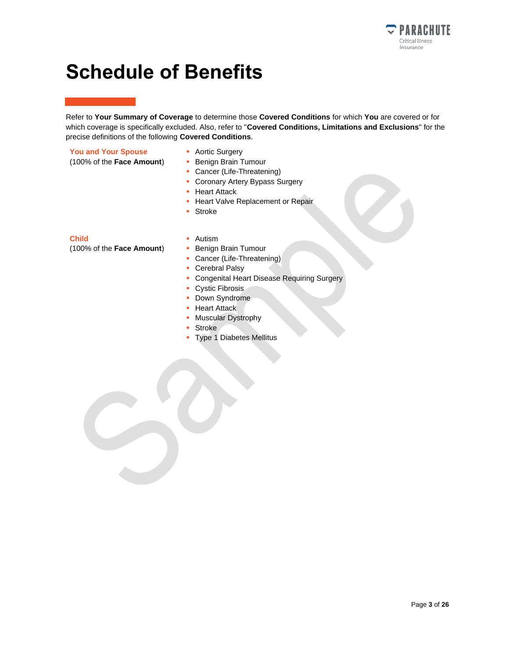

## <span id="page-2-0"></span>**Schedule of Benefits**

Refer to **Your Summary of Coverage** to determine those **Covered Conditions** for which **You** are covered or for which coverage is specifically excluded. Also, refer to "**Covered Conditions, Limitations and Exclusions**" for the precise definitions of the following **Covered Conditions**.

#### **You and Your Spouse**

- 
- (100% of the **Face Amount**)
- Aortic Surgery
- **Benign Brain Tumour**
- Cancer (Life-Threatening)
- **Coronary Artery Bypass Surgery**
- **Heart Attack**
- **· Heart Valve Replacement or Repair**
- Stroke

#### **Child**

(100% of the **Face Amount**)

- Autism
- **Benign Brain Tumour**
- **Cancer (Life-Threatening)**
- Cerebral Palsy
- **Congenital Heart Disease Requiring Surgery**
- Cystic Fibrosis
- Down Syndrome
- **Heart Attack**
- **Muscular Dystrophy**
- Stroke
- **Type 1 Diabetes Mellitus**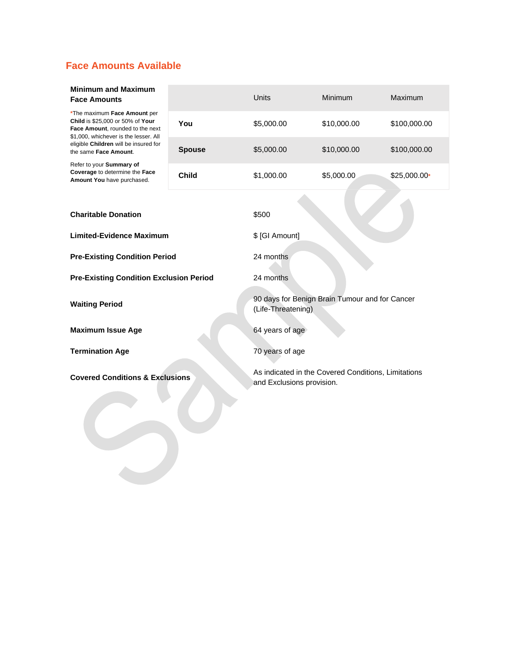## **Face Amounts Available**

#### **Minimum and Maximum Face Amounts**

| *The maximum Face Amount per          |
|---------------------------------------|
| Child is \$25,000 or 50% of Your      |
| Face Amount, rounded to the next      |
| \$1,000, whichever is the lesser. All |
| eligible Children will be insured for |
| the same Face Amount.                 |

| eligible <b>Allialeli</b> Mill be litsuled for<br>the same Face Amount.                  | <b>Spouse</b> | \$5,000.00      | \$10,000.00                                                                      | \$100,000.00  |  |
|------------------------------------------------------------------------------------------|---------------|-----------------|----------------------------------------------------------------------------------|---------------|--|
| Refer to your Summary of<br>Coverage to determine the Face<br>Amount You have purchased. | <b>Child</b>  | \$1,000.00      | \$5,000.00                                                                       | $$25,000.00*$ |  |
|                                                                                          |               |                 |                                                                                  |               |  |
| <b>Charitable Donation</b>                                                               |               | \$500           |                                                                                  |               |  |
| <b>Limited-Evidence Maximum</b>                                                          |               | \$ [GI Amount]  |                                                                                  |               |  |
| <b>Pre-Existing Condition Period</b>                                                     |               | 24 months       |                                                                                  |               |  |
| <b>Pre-Existing Condition Exclusion Period</b>                                           |               | 24 months       |                                                                                  |               |  |
| <b>Waiting Period</b>                                                                    |               |                 | 90 days for Benign Brain Tumour and for Cancer<br>(Life-Threatening)             |               |  |
| <b>Maximum Issue Age</b>                                                                 |               |                 | 64 years of age                                                                  |               |  |
| <b>Termination Age</b>                                                                   |               | 70 years of age |                                                                                  |               |  |
| <b>Covered Conditions &amp; Exclusions</b>                                               |               |                 | As indicated in the Covered Conditions, Limitations<br>and Exclusions provision. |               |  |

Units Minimum Maximum

**You** \$5,000.00 \$10,000.00 \$100,000.00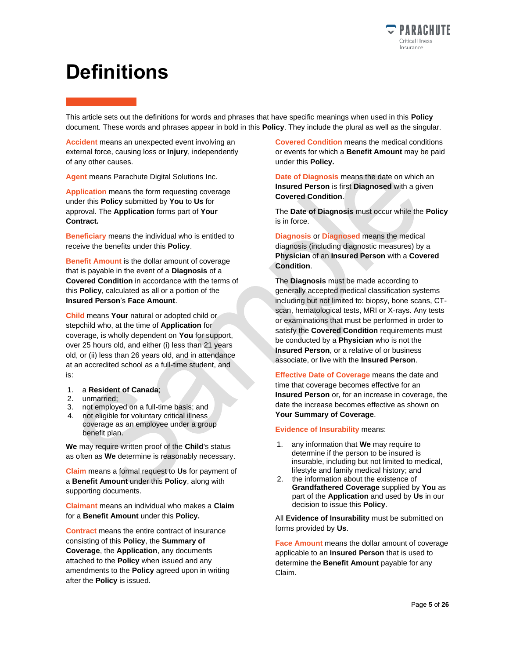

## <span id="page-4-0"></span>**Definitions**

This article sets out the definitions for words and phrases that have specific meanings when used in this **Policy** document. These words and phrases appear in bold in this **Policy**. They include the plural as well as the singular.

**Accident** means an unexpected event involving an external force, causing loss or **Injury**, independently of any other causes.

**Agent** means Parachute Digital Solutions Inc.

**Application** means the form requesting coverage under this **Policy** submitted by **You** to **Us** for approval. The **Application** forms part of **Your Contract.**

**Beneficiary** means the individual who is entitled to receive the benefits under this **Policy**.

**Benefit Amount** is the dollar amount of coverage that is payable in the event of a **Diagnosis** of a **Covered Condition** in accordance with the terms of this **Policy**, calculated as all or a portion of the **Insured Person**'s **Face Amount**.

**Child** means **Your** natural or adopted child or stepchild who, at the time of **Application** for coverage, is wholly dependent on **You** for support, over 25 hours old, and either (i) less than 21 years old, or (ii) less than 26 years old, and in attendance at an accredited school as a full-time student, and is:

- 1. a **Resident of Canada**;
- 2. unmarried;
- 3. not employed on a full-time basis; and
- 4. not eligible for voluntary critical illness coverage as an employee under a group benefit plan.

**We** may require written proof of the **Child**'s status as often as **We** determine is reasonably necessary.

**Claim** means a formal request to **Us** for payment of a **Benefit Amount** under this **Policy**, along with supporting documents.

**Claimant** means an individual who makes a **Claim** for a **Benefit Amount** under this **Policy.**

**Contract** means the entire contract of insurance consisting of this **Policy**, the **Summary of Coverage**, the **Application**, any documents attached to the **Policy** when issued and any amendments to the **Policy** agreed upon in writing after the **Policy** is issued.

**Covered Condition** means the medical conditions or events for which a **Benefit Amount** may be paid under this **Policy.**

**Date of Diagnosis** means the date on which an **Insured Person** is first **Diagnosed** with a given **Covered Condition**.

The **Date of Diagnosis** must occur while the **Policy** is in force.

**Diagnosis** or **Diagnosed** means the medical diagnosis (including diagnostic measures) by a **Physician** of an **Insured Person** with a **Covered Condition**.

The **Diagnosis** must be made according to generally accepted medical classification systems including but not limited to: biopsy, bone scans, CTscan, hematological tests, MRI or X-rays. Any tests or examinations that must be performed in order to satisfy the **Covered Condition** requirements must be conducted by a **Physician** who is not the **Insured Person**, or a relative of or business associate, or live with the **Insured Person**.

**Effective Date of Coverage** means the date and time that coverage becomes effective for an **Insured Person** or, for an increase in coverage, the date the increase becomes effective as shown on **Your Summary of Coverage**.

**Evidence of Insurability** means:

- 1. any information that **We** may require to determine if the person to be insured is insurable, including but not limited to medical, lifestyle and family medical history; and
- 2. the information about the existence of **Grandfathered Coverage** supplied by **You** as part of the **Application** and used by **Us** in our decision to issue this **Policy**.

All **Evidence of Insurability** must be submitted on forms provided by **Us**.

**Face Amount** means the dollar amount of coverage applicable to an **Insured Person** that is used to determine the **Benefit Amount** payable for any Claim.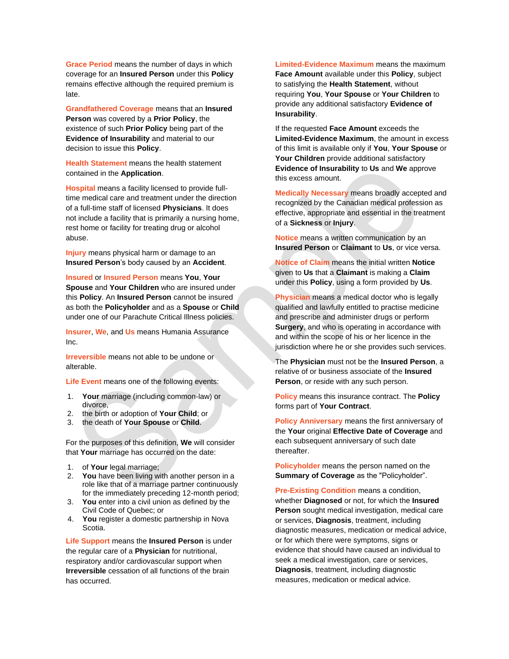**Grace Period** means the number of days in which coverage for an **Insured Person** under this **Policy** remains effective although the required premium is late.

**Grandfathered Coverage** means that an **Insured Person** was covered by a **Prior Policy**, the existence of such **Prior Policy** being part of the **Evidence of Insurability** and material to our decision to issue this **Policy**.

**Health Statement** means the health statement contained in the **Application**.

**Hospital** means a facility licensed to provide fulltime medical care and treatment under the direction of a full-time staff of licensed **Physicians**. It does not include a facility that is primarily a nursing home, rest home or facility for treating drug or alcohol abuse.

**Injury** means physical harm or damage to an **Insured Person**'s body caused by an **Accident**.

**Insured** or **Insured Person** means **You**, **Your Spouse** and **Your Children** who are insured under this **Policy**. An **Insured Person** cannot be insured as both the **Policyholder** and as a **Spouse** or **Child** under one of our Parachute Critical Illness policies.

**Insurer**, **We**, and **Us** means Humania Assurance Inc.

**Irreversible** means not able to be undone or alterable.

**Life Event** means one of the following events:

- 1. **Your** marriage (including common-law) or divorce,
- 2. the birth or adoption of **Your Child**; or
- 3. the death of **Your Spouse** or **Child**.

For the purposes of this definition, **We** will consider that **Your** marriage has occurred on the date:

- 1. of **Your** legal marriage;
- 2. **You** have been living with another person in a role like that of a marriage partner continuously for the immediately preceding 12-month period;
- 3. **You** enter into a civil union as defined by the Civil Code of Quebec; or
- 4. **You** register a domestic partnership in Nova Scotia.

**Life Support** means the **Insured Person** is under the regular care of a **Physician** for nutritional, respiratory and/or cardiovascular support when **Irreversible** cessation of all functions of the brain has occurred.

**Limited-Evidence Maximum** means the maximum **Face Amount** available under this **Policy**, subject to satisfying the **Health Statement**, without requiring **You**, **Your Spouse** or **Your Children** to provide any additional satisfactory **Evidence of Insurability**.

If the requested **Face Amount** exceeds the **Limited-Evidence Maximum**, the amount in excess of this limit is available only if **You**, **Your Spouse** or **Your Children** provide additional satisfactory **Evidence of Insurability** to **Us** and **We** approve this excess amount.

**Medically Necessary** means broadly accepted and recognized by the Canadian medical profession as effective, appropriate and essential in the treatment of a **Sickness** or **Injury**.

**Notice** means a written communication by an **Insured Person** or **Claimant** to **Us**, or vice versa.

**Notice of Claim** means the initial written **Notice** given to **Us** that a **Claimant** is making a **Claim** under this **Policy**, using a form provided by **Us**.

**Physician** means a medical doctor who is legally qualified and lawfully entitled to practise medicine and prescribe and administer drugs or perform **Surgery**, and who is operating in accordance with and within the scope of his or her licence in the jurisdiction where he or she provides such services.

The **Physician** must not be the **Insured Person**, a relative of or business associate of the **Insured Person**, or reside with any such person.

**Policy** means this insurance contract. The **Policy** forms part of **Your Contract**.

**Policy Anniversary** means the first anniversary of the **Your** original **Effective Date of Coverage** and each subsequent anniversary of such date thereafter.

**Policyholder** means the person named on the **Summary of Coverage** as the "Policyholder".

**Pre-Existing Condition** means a condition, whether **Diagnosed** or not, for which the **Insured Person** sought medical investigation, medical care or services, **Diagnosis**, treatment, including diagnostic measures, medication or medical advice, or for which there were symptoms, signs or evidence that should have caused an individual to seek a medical investigation, care or services, **Diagnosis**, treatment, including diagnostic measures, medication or medical advice.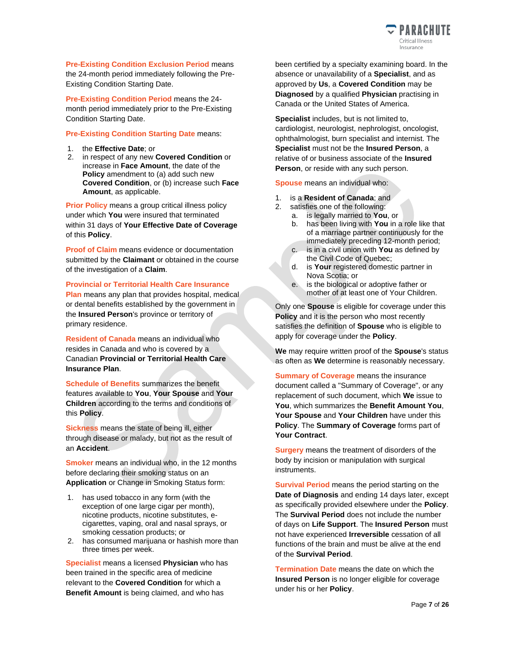

**Pre-Existing Condition Exclusion Period** means the 24-month period immediately following the Pre-Existing Condition Starting Date.

**Pre-Existing Condition Period** means the 24 month period immediately prior to the Pre-Existing Condition Starting Date.

#### **Pre-Existing Condition Starting Date** means:

- 1. the **Effective Date**; or
- 2. in respect of any new **Covered Condition** or increase in **Face Amount**, the date of the **Policy** amendment to (a) add such new **Covered Condition**, or (b) increase such **Face Amount**, as applicable.

**Prior Policy** means a group critical illness policy under which **You** were insured that terminated within 31 days of **Your Effective Date of Coverage** of this **Policy**.

**Proof of Claim** means evidence or documentation submitted by the **Claimant** or obtained in the course of the investigation of a **Claim**.

**Provincial or Territorial Health Care Insurance Plan** means any plan that provides hospital, medical or dental benefits established by the government in

the **Insured Person**'s province or territory of primary residence. **Resident of Canada** means an individual who resides in Canada and who is covered by a

Canadian **Provincial or Territorial Health Care Insurance Plan**.

**Schedule of Benefits** summarizes the benefit features available to **You**, **Your Spouse** and **Your Children** according to the terms and conditions of this **Policy**.

**Sickness** means the state of being ill, either through disease or malady, but not as the result of an **Accident**.

**Smoker** means an individual who, in the 12 months before declaring their smoking status on an **Application** or Change in Smoking Status form:

- 1. has used tobacco in any form (with the exception of one large cigar per month), nicotine products, nicotine substitutes, ecigarettes, vaping, oral and nasal sprays, or smoking cessation products; or
- 2. has consumed marijuana or hashish more than three times per week.

**Specialist** means a licensed **Physician** who has been trained in the specific area of medicine relevant to the **Covered Condition** for which a **Benefit Amount** is being claimed, and who has

been certified by a specialty examining board. In the absence or unavailability of a **Specialist**, and as approved by **Us**, a **Covered Condition** may be **Diagnosed** by a qualified **Physician** practising in Canada or the United States of America.

**Specialist** includes, but is not limited to, cardiologist, neurologist, nephrologist, oncologist, ophthalmologist, burn specialist and internist. The **Specialist** must not be the **Insured Person**, a relative of or business associate of the **Insured Person**, or reside with any such person.

**Spouse** means an individual who:

- 1. is a **Resident of Canada**; and
- 2. satisfies one of the following:
	- a. is legally married to **You**, or
		- b. has been living with **You** in a role like that of a marriage partner continuously for the immediately preceding 12-month period;
	- c. is in a civil union with **You** as defined by the Civil Code of Quebec;
	- d. is **Your** registered domestic partner in Nova Scotia; or
	- e. is the biological or adoptive father or mother of at least one of Your Children.

Only one **Spouse** is eligible for coverage under this **Policy** and it is the person who most recently satisfies the definition of **Spouse** who is eligible to apply for coverage under the **Policy**.

**We** may require written proof of the **Spouse**'s status as often as **We** determine is reasonably necessary.

**Summary of Coverage** means the insurance document called a "Summary of Coverage", or any replacement of such document, which **We** issue to **You**, which summarizes the **Benefit Amount You**, **Your Spouse** and **Your Children** have under this **Policy**. The **Summary of Coverage** forms part of **Your Contract**.

**Surgery** means the treatment of disorders of the body by incision or manipulation with surgical instruments.

**Survival Period** means the period starting on the **Date of Diagnosis** and ending 14 days later, except as specifically provided elsewhere under the **Policy**. The **Survival Period** does not include the number of days on **Life Support**. The **Insured Person** must not have experienced **Irreversible** cessation of all functions of the brain and must be alive at the end of the **Survival Period**.

**Termination Date** means the date on which the **Insured Person** is no longer eligible for coverage under his or her **Policy**.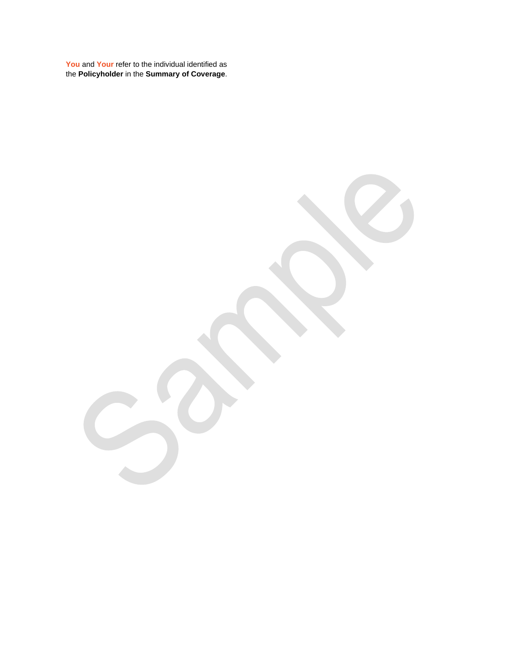**You** and **Your** refer to the individual identified as the **Policyholder** in the **Summary of Coverage**.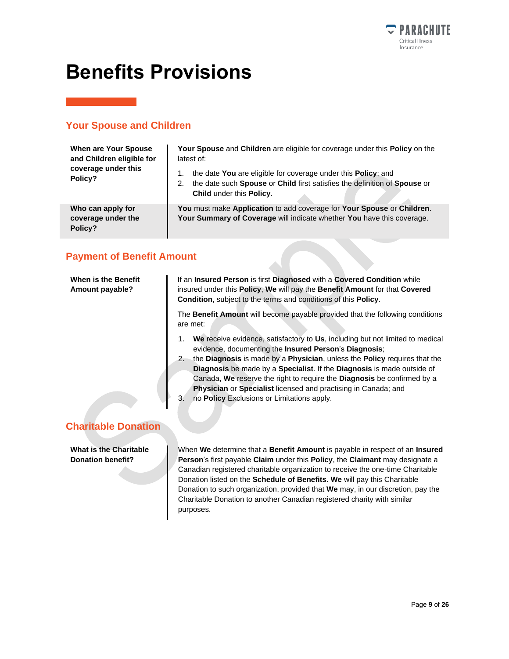

## <span id="page-8-0"></span>**Benefits Provisions**

## **Your Spouse and Children**

| When are Your Spouse<br>and Children eligible for<br>coverage under this<br>Policy? | Your Spouse and Children are eligible for coverage under this Policy on the<br>latest of:<br>the date You are eligible for coverage under this Policy; and<br>the date such Spouse or Child first satisfies the definition of Spouse or<br>2.<br>Child under this Policy. |
|-------------------------------------------------------------------------------------|---------------------------------------------------------------------------------------------------------------------------------------------------------------------------------------------------------------------------------------------------------------------------|
| Who can apply for<br>coverage under the<br>Policy?                                  | You must make Application to add coverage for Your Spouse or Children.<br>Your Summary of Coverage will indicate whether You have this coverage.                                                                                                                          |

### **Payment of Benefit Amount**

| When is the Benefit<br>Amount payable?                    | If an Insured Person is first Diagnosed with a Covered Condition while<br>insured under this <b>Policy, We</b> will pay the <b>Benefit Amount</b> for that <b>Covered</b><br><b>Condition, subject to the terms and conditions of this Policy.</b>                                                                                                                                                                                                                                                                                      |  |  |
|-----------------------------------------------------------|-----------------------------------------------------------------------------------------------------------------------------------------------------------------------------------------------------------------------------------------------------------------------------------------------------------------------------------------------------------------------------------------------------------------------------------------------------------------------------------------------------------------------------------------|--|--|
|                                                           | The <b>Benefit Amount</b> will become payable provided that the following conditions<br>are met:                                                                                                                                                                                                                                                                                                                                                                                                                                        |  |  |
|                                                           | We receive evidence, satisfactory to Us, including but not limited to medical<br>1.<br>evidence, documenting the Insured Person's Diagnosis;<br>the Diagnosis is made by a Physician, unless the Policy requires that the<br>2.<br><b>Diagnosis</b> be made by a <b>Specialist</b> . If the <b>Diagnosis</b> is made outside of<br>Canada, We reserve the right to require the Diagnosis be confirmed by a<br>Physician or Specialist licensed and practising in Canada; and<br>no <b>Policy</b> Exclusions or Limitations apply.<br>3. |  |  |
| <b>Charitable Donation</b>                                |                                                                                                                                                                                                                                                                                                                                                                                                                                                                                                                                         |  |  |
| <b>What is the Charitable</b><br><b>Donation benefit?</b> | When We determine that a Benefit Amount is payable in respect of an Insured<br><b>Person's first payable Claim under this Policy, the Claimant may designate a</b><br>Canadian registered charitable organization to receive the one-time Charitable                                                                                                                                                                                                                                                                                    |  |  |

Donation listed on the **Schedule of Benefits**. **We** will pay this Charitable Donation to such organization, provided that **We** may, in our discretion, pay the Charitable Donation to another Canadian registered charity with similar purposes.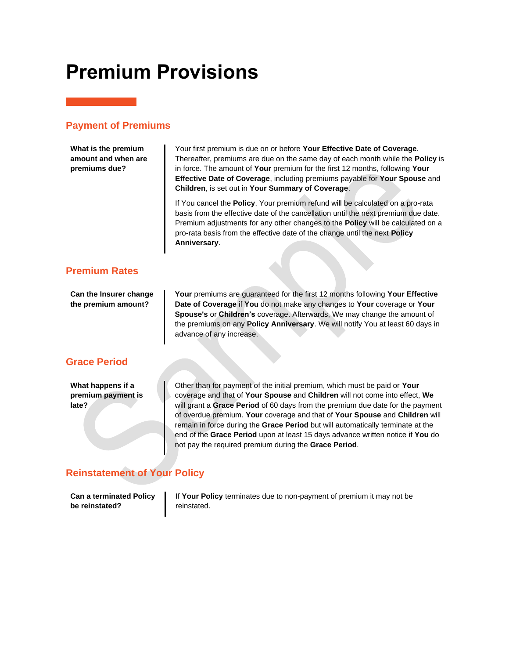## <span id="page-9-0"></span>**Premium Provisions**

#### **Payment of Premiums**

**What is the premium amount and when are premiums due?**

Your first premium is due on or before **Your Effective Date of Coverage**. Thereafter, premiums are due on the same day of each month while the **Policy** is in force. The amount of **Your** premium for the first 12 months, following **Your Effective Date of Coverage**, including premiums payable for **Your Spouse** and **Children**, is set out in **Your Summary of Coverage**.

If You cancel the **Policy**, Your premium refund will be calculated on a pro-rata basis from the effective date of the cancellation until the next premium due date. Premium adjustments for any other changes to the **Policy** will be calculated on a pro-rata basis from the effective date of the change until the next **Policy Anniversary**.

### **Premium Rates**

**Can the Insurer change the premium amount?**

**Your** premiums are guaranteed for the first 12 months following **Your Effective Date of Coverage** if **You** do not make any changes to **Your** coverage or **Your Spouse's** or **Children's** coverage. Afterwards, We may change the amount of the premiums on any **Policy Anniversary**. We will notify You at least 60 days in advance of any increase.

### **Grace Period**

**What happens if a premium payment is late?**

Other than for payment of the initial premium, which must be paid or **Your** coverage and that of **Your Spouse** and **Children** will not come into effect, **We** will grant a **Grace Period** of 60 days from the premium due date for the payment of overdue premium. **Your** coverage and that of **Your Spouse** and **Children** will remain in force during the **Grace Period** but will automatically terminate at the end of the **Grace Period** upon at least 15 days advance written notice if **You** do not pay the required premium during the **Grace Period**.

### **Reinstatement of Your Policy**

**Can a terminated Policy be reinstated?**

If **Your Policy** terminates due to non-payment of premium it may not be reinstated.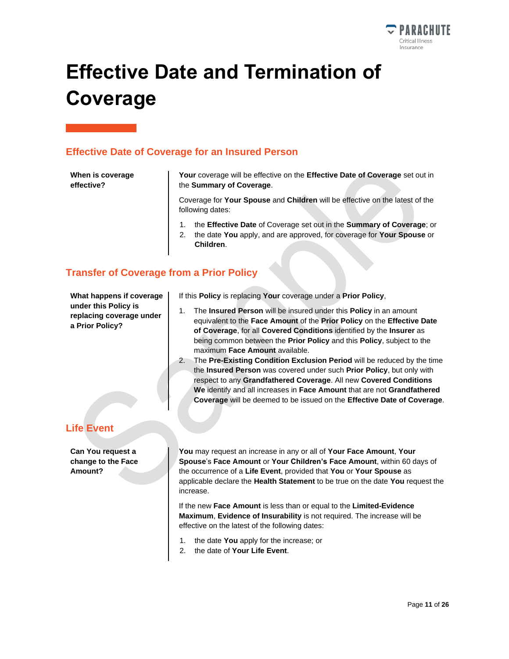

# <span id="page-10-0"></span>**Effective Date and Termination of Coverage**

#### **Effective Date of Coverage for an Insured Person**

#### **When is coverage effective?**

**Your** coverage will be effective on the **Effective Date of Coverage** set out in the **Summary of Coverage**.

Coverage for **Your Spouse** and **Children** will be effective on the latest of the following dates:

- 1. the **Effective Date** of Coverage set out in the **Summary of Coverage**; or
- 2. the date **You** apply, and are approved, for coverage for **Your Spouse** or **Children**.

### **Transfer of Coverage from a Prior Policy**

**What happens if coverage under this Policy is replacing coverage under a Prior Policy?**

If this **Policy** is replacing **Your** coverage under a **Prior Policy**,

- 1. The **Insured Person** will be insured under this **Policy** in an amount equivalent to the **Face Amount** of the **Prior Policy** on the **Effective Date of Coverage**, for all **Covered Conditions** identified by the **Insurer** as being common between the **Prior Policy** and this **Policy**, subject to the maximum **Face Amount** available.
- 2. The **Pre-Existing Condition Exclusion Period** will be reduced by the time the **Insured Person** was covered under such **Prior Policy**, but only with respect to any **Grandfathered Coverage**. All new **Covered Conditions We** identify and all increases in **Face Amount** that are not **Grandfathered Coverage** will be deemed to be issued on the **Effective Date of Coverage**.

## **Life Event**

**Can You request a change to the Face Amount?**

**You** may request an increase in any or all of **Your Face Amount**, **Your Spouse**'s **Face Amount** or **Your Children's Face Amount**, within 60 days of the occurrence of a **Life Event**, provided that **You** or **Your Spouse** as applicable declare the **Health Statement** to be true on the date **You** request the increase.

If the new **Face Amount** is less than or equal to the **Limited-Evidence Maximum**, **Evidence of Insurability** is not required. The increase will be effective on the latest of the following dates:

- 1. the date **You** apply for the increase; or
- 2. the date of **Your Life Event**.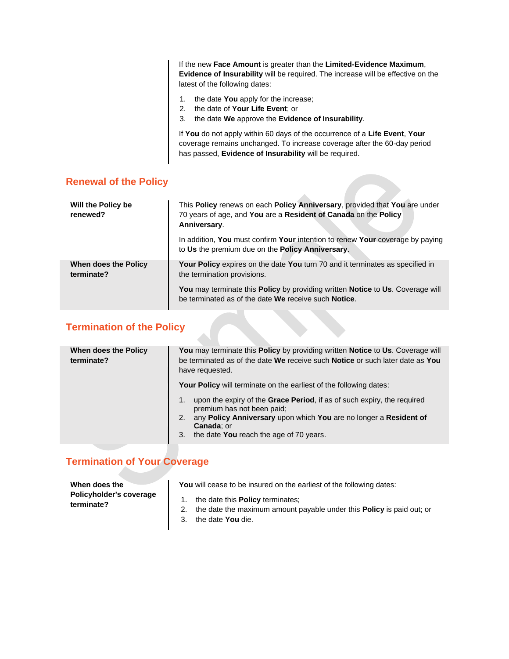If the new **Face Amount** is greater than the **Limited-Evidence Maximum**, **Evidence of Insurability** will be required. The increase will be effective on the latest of the following dates:

- 1. the date **You** apply for the increase;
- 2. the date of **Your Life Event**; or
- 3. the date **We** approve the **Evidence of Insurability**.

If **You** do not apply within 60 days of the occurrence of a **Life Event**, **Your** coverage remains unchanged. To increase coverage after the 60-day period has passed, **Evidence of Insurability** will be required.

#### **Renewal of the Policy**

| Will the Policy be<br>renewed?     | This Policy renews on each Policy Anniversary, provided that You are under<br>70 years of age, and You are a Resident of Canada on the Policy<br>Anniversary. |
|------------------------------------|---------------------------------------------------------------------------------------------------------------------------------------------------------------|
|                                    | In addition, You must confirm Your intention to renew Your coverage by paying<br>to Us the premium due on the Policy Anniversary.                             |
| When does the Policy<br>terminate? | <b>Your Policy</b> expires on the date You turn 70 and it terminates as specified in<br>the termination provisions.                                           |
|                                    | You may terminate this Policy by providing written Notice to Us. Coverage will<br>be terminated as of the date We receive such Notice.                        |

## **Termination of the Policy**

| When does the Policy<br>terminate? | You may terminate this Policy by providing written Notice to Us. Coverage will<br>be terminated as of the date We receive such Notice or such later date as You<br>have requested.                                                                              |
|------------------------------------|-----------------------------------------------------------------------------------------------------------------------------------------------------------------------------------------------------------------------------------------------------------------|
|                                    | Your Policy will terminate on the earliest of the following dates:                                                                                                                                                                                              |
|                                    | upon the expiry of the <b>Grace Period</b> , if as of such expiry, the required<br>premium has not been paid;<br>any Policy Anniversary upon which You are no longer a Resident of<br>2.<br><b>Canada</b> ; or<br>the date You reach the age of 70 years.<br>3. |

### **Termination of Your Coverage**

| When does the<br>Policyholder's coverage<br>terminate? | You will cease to be insured on the earliest of the following dates:                                                                                  |  |  |
|--------------------------------------------------------|-------------------------------------------------------------------------------------------------------------------------------------------------------|--|--|
|                                                        | 1. the date this <b>Policy</b> terminates:<br>2. the date the maximum amount payable under this <b>Policy</b> is paid out; or<br>3. the date You die. |  |  |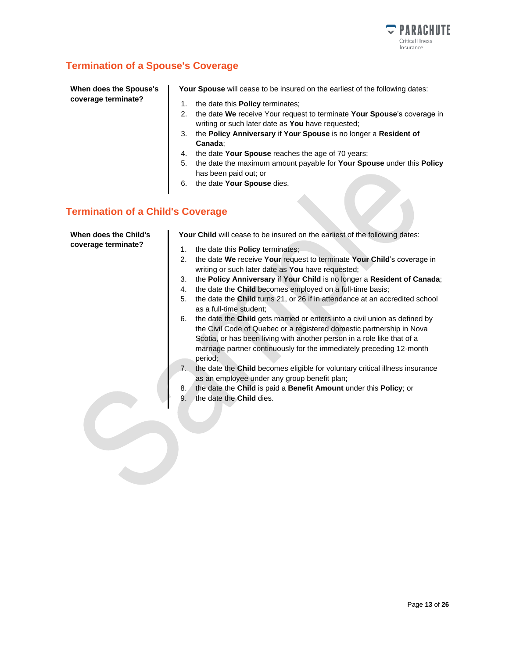

### **Termination of a Spouse's Coverage**

**When does the Spouse's coverage terminate?**

**Your Spouse** will cease to be insured on the earliest of the following dates:

- 1. the date this **Policy** terminates;
- 2. the date **We** receive Your request to terminate **Your Spouse**'s coverage in writing or such later date as **You** have requested;
- 3. the **Policy Anniversary** if **Your Spouse** is no longer a **Resident of Canada**;
- 4. the date **Your Spouse** reaches the age of 70 years;
- 5. the date the maximum amount payable for **Your Spouse** under this **Policy** has been paid out; or

 $\mathcal{C}$ 

6. the date **Your Spouse** dies.

#### **Termination of a Child's Coverage**

| When does the Child's<br>coverage terminate? | Your Child will cease to be insured on the earliest of the following dates:                                                                                                                                                                                                                                             |  |  |
|----------------------------------------------|-------------------------------------------------------------------------------------------------------------------------------------------------------------------------------------------------------------------------------------------------------------------------------------------------------------------------|--|--|
|                                              | the date this <b>Policy</b> terminates;<br>1.                                                                                                                                                                                                                                                                           |  |  |
|                                              | the date We receive Your request to terminate Your Child's coverage in<br>2.<br>writing or such later date as You have requested;                                                                                                                                                                                       |  |  |
|                                              | the Policy Anniversary if Your Child is no longer a Resident of Canada;<br>3.                                                                                                                                                                                                                                           |  |  |
|                                              | the date the Child becomes employed on a full-time basis;<br>4.                                                                                                                                                                                                                                                         |  |  |
|                                              | the date the Child turns 21, or 26 if in attendance at an accredited school<br>5.<br>as a full-time student;                                                                                                                                                                                                            |  |  |
|                                              | the date the Child gets married or enters into a civil union as defined by<br>6.<br>the Civil Code of Quebec or a registered domestic partnership in Nova<br>Scotia, or has been living with another person in a role like that of a<br>marriage partner continuously for the immediately preceding 12-month<br>period: |  |  |
|                                              | the date the Child becomes eligible for voluntary critical illness insurance<br>7.<br>as an employee under any group benefit plan;                                                                                                                                                                                      |  |  |
|                                              | the date the Child is paid a Benefit Amount under this Policy; or<br>8.                                                                                                                                                                                                                                                 |  |  |
|                                              | the date the Child dies.<br>9.                                                                                                                                                                                                                                                                                          |  |  |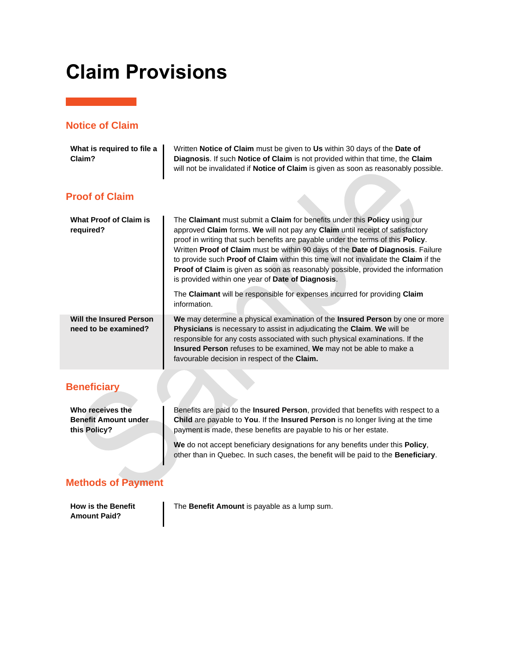## <span id="page-13-0"></span>**Claim Provisions**

## **Notice of Claim**

| What is required to file a<br>Claim?                            | Written Notice of Claim must be given to Us within 30 days of the Date of<br>Diagnosis. If such Notice of Claim is not provided within that time, the Claim<br>will not be invalidated if Notice of Claim is given as soon as reasonably possible.                                                                                                                                                                                                                                                                                                                       |
|-----------------------------------------------------------------|--------------------------------------------------------------------------------------------------------------------------------------------------------------------------------------------------------------------------------------------------------------------------------------------------------------------------------------------------------------------------------------------------------------------------------------------------------------------------------------------------------------------------------------------------------------------------|
| <b>Proof of Claim</b>                                           |                                                                                                                                                                                                                                                                                                                                                                                                                                                                                                                                                                          |
| <b>What Proof of Claim is</b><br>required?                      | The Claimant must submit a Claim for benefits under this Policy using our<br>approved Claim forms. We will not pay any Claim until receipt of satisfactory<br>proof in writing that such benefits are payable under the terms of this Policy.<br>Written Proof of Claim must be within 90 days of the Date of Diagnosis. Failure<br>to provide such Proof of Claim within this time will not invalidate the Claim if the<br><b>Proof of Claim</b> is given as soon as reasonably possible, provided the information<br>is provided within one year of Date of Diagnosis. |
|                                                                 | The Claimant will be responsible for expenses incurred for providing Claim<br>information.                                                                                                                                                                                                                                                                                                                                                                                                                                                                               |
| <b>Will the Insured Person</b><br>need to be examined?          | We may determine a physical examination of the Insured Person by one or more<br>Physicians is necessary to assist in adjudicating the Claim. We will be<br>responsible for any costs associated with such physical examinations. If the<br>Insured Person refuses to be examined, We may not be able to make a<br>favourable decision in respect of the Claim.                                                                                                                                                                                                           |
| <b>Beneficiary</b>                                              |                                                                                                                                                                                                                                                                                                                                                                                                                                                                                                                                                                          |
| Who receives the<br><b>Benefit Amount under</b><br>this Policy? | Benefits are paid to the Insured Person, provided that benefits with respect to a<br>Child are payable to You. If the Insured Person is no longer living at the time<br>payment is made, these benefits are payable to his or her estate.<br>We do not accept beneficiary designations for any benefits under this Policy,<br>other than in Quebec. In such cases, the benefit will be paid to the Beneficiary.                                                                                                                                                          |
| <b>Methods of Payment</b>                                       |                                                                                                                                                                                                                                                                                                                                                                                                                                                                                                                                                                          |

**How is the Benefit Amount Paid?**

The **Benefit Amount** is payable as a lump sum.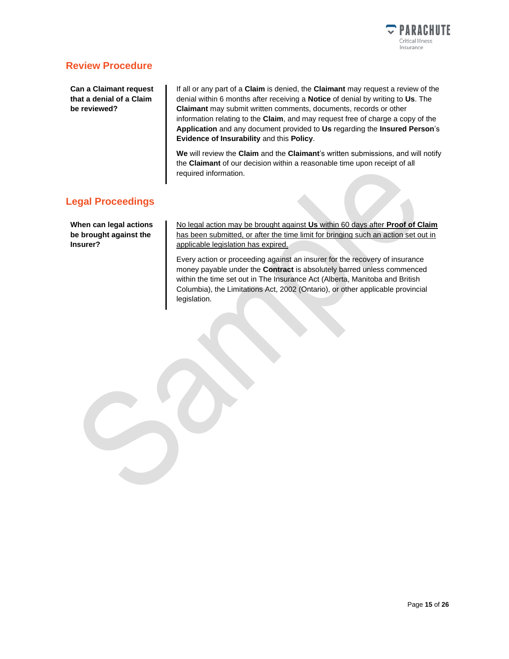

#### **Review Procedure**

**Can a Claimant request that a denial of a Claim be reviewed?**

If all or any part of a **Claim** is denied, the **Claimant** may request a review of the denial within 6 months after receiving a **Notice** of denial by writing to **Us**. The **Claimant** may submit written comments, documents, records or other information relating to the **Claim**, and may request free of charge a copy of the **Application** and any document provided to **Us** regarding the **Insured Person**'s **Evidence of Insurability** and this **Policy**.

**We** will review the **Claim** and the **Claimant**'s written submissions, and will notify the **Claimant** of our decision within a reasonable time upon receipt of all required information.

#### **Legal Proceedings**

**When can legal actions be brought against the Insurer?**

No legal action may be brought against **Us** within 60 days after **Proof of Claim** has been submitted, or after the time limit for bringing such an action set out in applicable legislation has expired.

Every action or proceeding against an insurer for the recovery of insurance money payable under the **Contract** is absolutely barred unless commenced within the time set out in The Insurance Act (Alberta, Manitoba and British Columbia), the Limitations Act, 2002 (Ontario), or other applicable provincial legislation.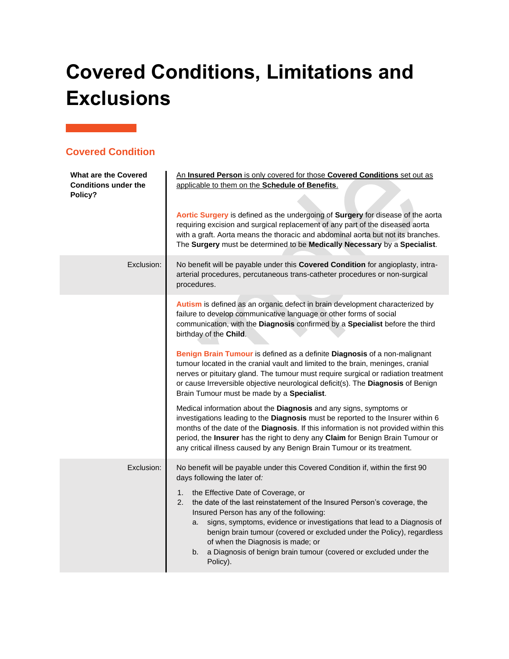# <span id="page-15-0"></span>**Covered Conditions, Limitations and Exclusions**

| <b>Covered Condition</b> |
|--------------------------|
|--------------------------|

| <b>What are the Covered</b><br><b>Conditions under the</b><br>Policy? | An Insured Person is only covered for those Covered Conditions set out as<br>applicable to them on the Schedule of Benefits.<br>Aortic Surgery is defined as the undergoing of Surgery for disease of the aorta<br>requiring excision and surgical replacement of any part of the diseased aorta<br>with a graft. Aorta means the thoracic and abdominal aorta but not its branches.<br>The Surgery must be determined to be Medically Necessary by a Specialist.                                                                                                                |
|-----------------------------------------------------------------------|----------------------------------------------------------------------------------------------------------------------------------------------------------------------------------------------------------------------------------------------------------------------------------------------------------------------------------------------------------------------------------------------------------------------------------------------------------------------------------------------------------------------------------------------------------------------------------|
| Exclusion:                                                            | No benefit will be payable under this Covered Condition for angioplasty, intra-<br>arterial procedures, percutaneous trans-catheter procedures or non-surgical<br>procedures.                                                                                                                                                                                                                                                                                                                                                                                                    |
|                                                                       | Autism is defined as an organic defect in brain development characterized by<br>failure to develop communicative language or other forms of social<br>communication, with the Diagnosis confirmed by a Specialist before the third<br>birthday of the Child.                                                                                                                                                                                                                                                                                                                     |
|                                                                       | Benign Brain Tumour is defined as a definite Diagnosis of a non-malignant<br>tumour located in the cranial vault and limited to the brain, meninges, cranial<br>nerves or pituitary gland. The tumour must require surgical or radiation treatment<br>or cause Irreversible objective neurological deficit(s). The Diagnosis of Benign<br>Brain Tumour must be made by a Specialist.                                                                                                                                                                                             |
|                                                                       | Medical information about the Diagnosis and any signs, symptoms or<br>investigations leading to the Diagnosis must be reported to the Insurer within 6<br>months of the date of the Diagnosis. If this information is not provided within this<br>period, the Insurer has the right to deny any Claim for Benign Brain Tumour or<br>any critical illness caused by any Benign Brain Tumour or its treatment.                                                                                                                                                                     |
| Exclusion:                                                            | No benefit will be payable under this Covered Condition if, within the first 90<br>days following the later of:<br>the Effective Date of Coverage, or<br>1.<br>the date of the last reinstatement of the Insured Person's coverage, the<br>2.<br>Insured Person has any of the following:<br>signs, symptoms, evidence or investigations that lead to a Diagnosis of<br>a.<br>benign brain tumour (covered or excluded under the Policy), regardless<br>of when the Diagnosis is made; or<br>a Diagnosis of benign brain tumour (covered or excluded under the<br>b.<br>Policy). |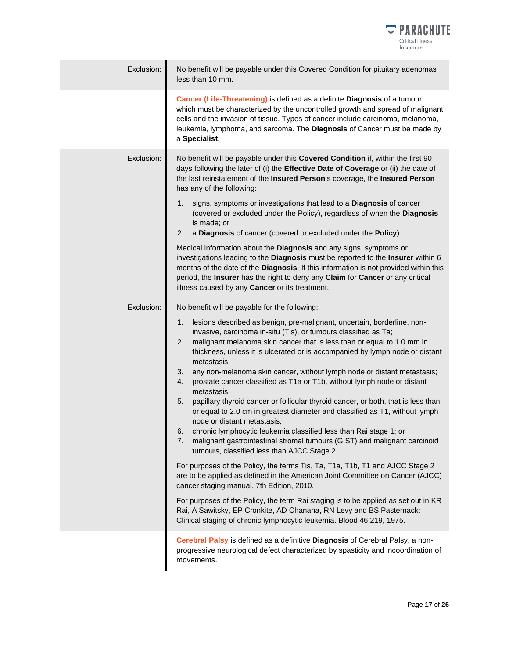

| Exclusion: | No benefit will be payable under this Covered Condition for pituitary adenomas<br>less than 10 mm.                                                                                                                                                                                                                                                                                                                                                                                                                                                                                                                                                                                                                                                                                                                                                                                                                                                                                                                                                                                                                                                                                                                                                                                                                                                                                                                                           |
|------------|----------------------------------------------------------------------------------------------------------------------------------------------------------------------------------------------------------------------------------------------------------------------------------------------------------------------------------------------------------------------------------------------------------------------------------------------------------------------------------------------------------------------------------------------------------------------------------------------------------------------------------------------------------------------------------------------------------------------------------------------------------------------------------------------------------------------------------------------------------------------------------------------------------------------------------------------------------------------------------------------------------------------------------------------------------------------------------------------------------------------------------------------------------------------------------------------------------------------------------------------------------------------------------------------------------------------------------------------------------------------------------------------------------------------------------------------|
|            | Cancer (Life-Threatening) is defined as a definite Diagnosis of a tumour,<br>which must be characterized by the uncontrolled growth and spread of malignant<br>cells and the invasion of tissue. Types of cancer include carcinoma, melanoma,<br>leukemia, lymphoma, and sarcoma. The Diagnosis of Cancer must be made by<br>a Specialist.                                                                                                                                                                                                                                                                                                                                                                                                                                                                                                                                                                                                                                                                                                                                                                                                                                                                                                                                                                                                                                                                                                   |
| Exclusion: | No benefit will be payable under this Covered Condition if, within the first 90<br>days following the later of (i) the Effective Date of Coverage or (ii) the date of<br>the last reinstatement of the Insured Person's coverage, the Insured Person<br>has any of the following:<br>signs, symptoms or investigations that lead to a Diagnosis of cancer<br>1.<br>(covered or excluded under the Policy), regardless of when the Diagnosis<br>is made; or<br>a Diagnosis of cancer (covered or excluded under the Policy).<br>2.<br>Medical information about the Diagnosis and any signs, symptoms or<br>investigations leading to the Diagnosis must be reported to the Insurer within 6<br>months of the date of the Diagnosis. If this information is not provided within this<br>period, the Insurer has the right to deny any Claim for Cancer or any critical<br>illness caused by any Cancer or its treatment.                                                                                                                                                                                                                                                                                                                                                                                                                                                                                                                      |
| Exclusion: | No benefit will be payable for the following:<br>lesions described as benign, pre-malignant, uncertain, borderline, non-<br>1.<br>invasive, carcinoma in-situ (Tis), or tumours classified as Ta;<br>malignant melanoma skin cancer that is less than or equal to 1.0 mm in<br>2.<br>thickness, unless it is ulcerated or is accompanied by lymph node or distant<br>metastasis;<br>any non-melanoma skin cancer, without lymph node or distant metastasis;<br>3.<br>prostate cancer classified as T1a or T1b, without lymph node or distant<br>4.<br>metastasis;<br>papillary thyroid cancer or follicular thyroid cancer, or both, that is less than<br>5.<br>or equal to 2.0 cm in greatest diameter and classified as T1, without lymph<br>node or distant metastasis;<br>chronic lymphocytic leukemia classified less than Rai stage 1; or<br>6.<br>malignant gastrointestinal stromal tumours (GIST) and malignant carcinoid<br>7.<br>tumours, classified less than AJCC Stage 2.<br>For purposes of the Policy, the terms Tis, Ta, T1a, T1b, T1 and AJCC Stage 2<br>are to be applied as defined in the American Joint Committee on Cancer (AJCC)<br>cancer staging manual, 7th Edition, 2010.<br>For purposes of the Policy, the term Rai staging is to be applied as set out in KR<br>Rai, A Sawitsky, EP Cronkite, AD Chanana, RN Levy and BS Pasternack:<br>Clinical staging of chronic lymphocytic leukemia. Blood 46:219, 1975. |
|            | Cerebral Palsy is defined as a definitive Diagnosis of Cerebral Palsy, a non-<br>progressive neurological defect characterized by spasticity and incoordination of<br>movements.                                                                                                                                                                                                                                                                                                                                                                                                                                                                                                                                                                                                                                                                                                                                                                                                                                                                                                                                                                                                                                                                                                                                                                                                                                                             |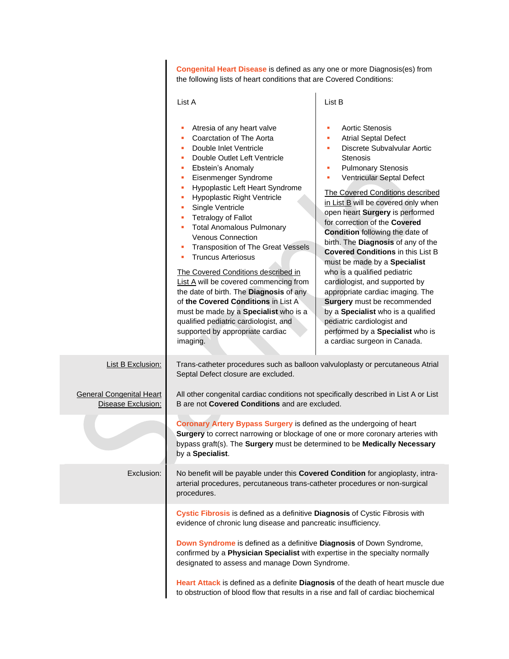|                                                       | Congenital Heart Disease is defined as any one or more Diagnosis(es) from<br>the following lists of heart conditions that are Covered Conditions:                                                                                                                                                                                                                                                                                                                                                                                                                                                                                                                                                                              |                                                                                                                                                                                                                                                                                                                                                                                                                                                                                                                                                                                                                                                                                                                                                                                    |
|-------------------------------------------------------|--------------------------------------------------------------------------------------------------------------------------------------------------------------------------------------------------------------------------------------------------------------------------------------------------------------------------------------------------------------------------------------------------------------------------------------------------------------------------------------------------------------------------------------------------------------------------------------------------------------------------------------------------------------------------------------------------------------------------------|------------------------------------------------------------------------------------------------------------------------------------------------------------------------------------------------------------------------------------------------------------------------------------------------------------------------------------------------------------------------------------------------------------------------------------------------------------------------------------------------------------------------------------------------------------------------------------------------------------------------------------------------------------------------------------------------------------------------------------------------------------------------------------|
|                                                       | List A                                                                                                                                                                                                                                                                                                                                                                                                                                                                                                                                                                                                                                                                                                                         | List B                                                                                                                                                                                                                                                                                                                                                                                                                                                                                                                                                                                                                                                                                                                                                                             |
|                                                       | Atresia of any heart valve<br>Coarctation of The Aorta<br>Double Inlet Ventricle<br>Double Outlet Left Ventricle<br>Ebstein's Anomaly<br>Eisenmenger Syndrome<br>Hypoplastic Left Heart Syndrome<br>Hypoplastic Right Ventricle<br>Single Ventricle<br><b>Tetralogy of Fallot</b><br><b>Total Anomalous Pulmonary</b><br><b>Venous Connection</b><br>Transposition of The Great Vessels<br><b>Truncus Arteriosus</b><br>п<br>The Covered Conditions described in<br>List A will be covered commencing from<br>the date of birth. The Diagnosis of any<br>of the Covered Conditions in List A<br>must be made by a Specialist who is a<br>qualified pediatric cardiologist, and<br>supported by appropriate cardiac<br>imaging. | <b>Aortic Stenosis</b><br>٠<br><b>Atrial Septal Defect</b><br>٠<br>Discrete Subvalvular Aortic<br>٠<br><b>Stenosis</b><br><b>Pulmonary Stenosis</b><br>٠<br>Ventricular Septal Defect<br>٠<br>The Covered Conditions described<br>in List B will be covered only when<br>open heart Surgery is performed<br>for correction of the Covered<br><b>Condition</b> following the date of<br>birth. The Diagnosis of any of the<br><b>Covered Conditions in this List B</b><br>must be made by a Specialist<br>who is a qualified pediatric<br>cardiologist, and supported by<br>appropriate cardiac imaging. The<br>Surgery must be recommended<br>by a Specialist who is a qualified<br>pediatric cardiologist and<br>performed by a Specialist who is<br>a cardiac surgeon in Canada. |
| <b>List B Exclusion:</b>                              | Trans-catheter procedures such as balloon valvuloplasty or percutaneous Atrial<br>Septal Defect closure are excluded.                                                                                                                                                                                                                                                                                                                                                                                                                                                                                                                                                                                                          |                                                                                                                                                                                                                                                                                                                                                                                                                                                                                                                                                                                                                                                                                                                                                                                    |
| <b>General Congenital Heart</b><br>Disease Exclusion: | All other congenital cardiac conditions not specifically described in List A or List<br>B are not <b>Covered Conditions</b> and are excluded.                                                                                                                                                                                                                                                                                                                                                                                                                                                                                                                                                                                  |                                                                                                                                                                                                                                                                                                                                                                                                                                                                                                                                                                                                                                                                                                                                                                                    |
|                                                       | Coronary Artery Bypass Surgery is defined as the undergoing of heart<br><b>Surgery</b> to correct narrowing or blockage of one or more coronary arteries with<br>bypass graft(s). The Surgery must be determined to be Medically Necessary<br>by a Specialist.                                                                                                                                                                                                                                                                                                                                                                                                                                                                 |                                                                                                                                                                                                                                                                                                                                                                                                                                                                                                                                                                                                                                                                                                                                                                                    |
| Exclusion:                                            | No benefit will be payable under this Covered Condition for angioplasty, intra-<br>arterial procedures, percutaneous trans-catheter procedures or non-surgical<br>procedures.                                                                                                                                                                                                                                                                                                                                                                                                                                                                                                                                                  |                                                                                                                                                                                                                                                                                                                                                                                                                                                                                                                                                                                                                                                                                                                                                                                    |
|                                                       | Cystic Fibrosis is defined as a definitive Diagnosis of Cystic Fibrosis with<br>evidence of chronic lung disease and pancreatic insufficiency.                                                                                                                                                                                                                                                                                                                                                                                                                                                                                                                                                                                 |                                                                                                                                                                                                                                                                                                                                                                                                                                                                                                                                                                                                                                                                                                                                                                                    |
|                                                       | Down Syndrome is defined as a definitive Diagnosis of Down Syndrome,<br>confirmed by a Physician Specialist with expertise in the specialty normally<br>designated to assess and manage Down Syndrome.                                                                                                                                                                                                                                                                                                                                                                                                                                                                                                                         |                                                                                                                                                                                                                                                                                                                                                                                                                                                                                                                                                                                                                                                                                                                                                                                    |
|                                                       | Heart Attack is defined as a definite Diagnosis of the death of heart muscle due<br>to obstruction of blood flow that results in a rise and fall of cardiac biochemical                                                                                                                                                                                                                                                                                                                                                                                                                                                                                                                                                        |                                                                                                                                                                                                                                                                                                                                                                                                                                                                                                                                                                                                                                                                                                                                                                                    |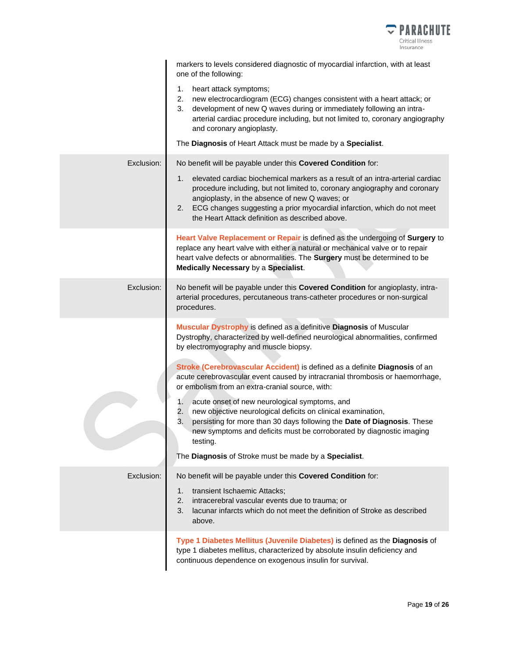

|            | markers to levels considered diagnostic of myocardial infarction, with at least<br>one of the following:                                                                                                                                                                                                                                             |
|------------|------------------------------------------------------------------------------------------------------------------------------------------------------------------------------------------------------------------------------------------------------------------------------------------------------------------------------------------------------|
|            | heart attack symptoms;<br>1.<br>2. new electrocardiogram (ECG) changes consistent with a heart attack; or<br>development of new Q waves during or immediately following an intra-<br>3.<br>arterial cardiac procedure including, but not limited to, coronary angiography<br>and coronary angioplasty.                                               |
|            | The Diagnosis of Heart Attack must be made by a Specialist.                                                                                                                                                                                                                                                                                          |
| Exclusion: | No benefit will be payable under this Covered Condition for:                                                                                                                                                                                                                                                                                         |
|            | elevated cardiac biochemical markers as a result of an intra-arterial cardiac<br>1.<br>procedure including, but not limited to, coronary angiography and coronary<br>angioplasty, in the absence of new Q waves; or<br>2. ECG changes suggesting a prior myocardial infarction, which do not meet<br>the Heart Attack definition as described above. |
|            | Heart Valve Replacement or Repair is defined as the undergoing of Surgery to<br>replace any heart valve with either a natural or mechanical valve or to repair<br>heart valve defects or abnormalities. The Surgery must be determined to be<br>Medically Necessary by a Specialist.                                                                 |
| Exclusion: | No benefit will be payable under this Covered Condition for angioplasty, intra-<br>arterial procedures, percutaneous trans-catheter procedures or non-surgical<br>procedures.                                                                                                                                                                        |
|            | Muscular Dystrophy is defined as a definitive Diagnosis of Muscular<br>Dystrophy, characterized by well-defined neurological abnormalities, confirmed<br>by electromyography and muscle biopsy.                                                                                                                                                      |
|            | Stroke (Cerebrovascular Accident) is defined as a definite Diagnosis of an<br>acute cerebrovascular event caused by intracranial thrombosis or haemorrhage,<br>or embolism from an extra-cranial source, with:                                                                                                                                       |
|            | acute onset of new neurological symptoms, and<br>1.<br>2.<br>new objective neurological deficits on clinical examination,<br>3.<br>persisting for more than 30 days following the Date of Diagnosis. These<br>new symptoms and deficits must be corroborated by diagnostic imaging<br>testing.                                                       |
|            | The Diagnosis of Stroke must be made by a Specialist.                                                                                                                                                                                                                                                                                                |
| Exclusion: | No benefit will be payable under this Covered Condition for:                                                                                                                                                                                                                                                                                         |
|            | transient Ischaemic Attacks;<br>1.<br>2.<br>intracerebral vascular events due to trauma; or<br>lacunar infarcts which do not meet the definition of Stroke as described<br>3.<br>above.                                                                                                                                                              |
|            | Type 1 Diabetes Mellitus (Juvenile Diabetes) is defined as the Diagnosis of<br>type 1 diabetes mellitus, characterized by absolute insulin deficiency and<br>continuous dependence on exogenous insulin for survival.                                                                                                                                |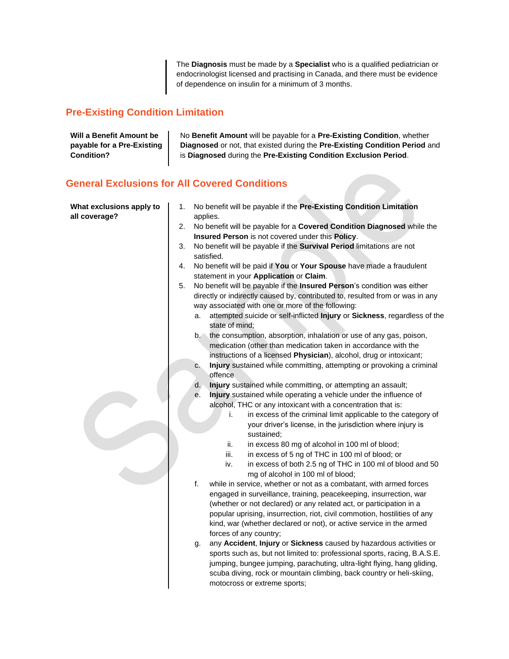The **Diagnosis** must be made by a **Specialist** who is a qualified pediatrician or endocrinologist licensed and practising in Canada, and there must be evidence of dependence on insulin for a minimum of 3 months.

 $\Delta$ 

## **Pre-Existing Condition Limitation**

| Will a Benefit Amount be   | No Benefit Amount will be payable for a Pre-Existing Condition, whether     |
|----------------------------|-----------------------------------------------------------------------------|
| payable for a Pre-Existing | Diagnosed or not, that existed during the Pre-Existing Condition Period and |
| Condition?                 | is Diagnosed during the Pre-Existing Condition Exclusion Period.            |
|                            |                                                                             |

### **General Exclusions for All Covered Conditions**

| What exclusions apply to<br>all coverage? | 1. | No benefit will be payable if the Pre-Existing Condition Limitation<br>applies.                                                                                                                                                                                                                                                                                                                     |
|-------------------------------------------|----|-----------------------------------------------------------------------------------------------------------------------------------------------------------------------------------------------------------------------------------------------------------------------------------------------------------------------------------------------------------------------------------------------------|
|                                           | 2. | No benefit will be payable for a Covered Condition Diagnosed while the<br>Insured Person is not covered under this Policy.                                                                                                                                                                                                                                                                          |
|                                           | 3. | No benefit will be payable if the Survival Period limitations are not                                                                                                                                                                                                                                                                                                                               |
|                                           |    | satisfied.                                                                                                                                                                                                                                                                                                                                                                                          |
|                                           | 4. | No benefit will be paid if You or Your Spouse have made a fraudulent<br>statement in your Application or Claim.                                                                                                                                                                                                                                                                                     |
|                                           | 5. | No benefit will be payable if the Insured Person's condition was either                                                                                                                                                                                                                                                                                                                             |
|                                           |    | directly or indirectly caused by, contributed to, resulted from or was in any                                                                                                                                                                                                                                                                                                                       |
|                                           |    | way associated with one or more of the following:                                                                                                                                                                                                                                                                                                                                                   |
|                                           |    | attempted suicide or self-inflicted Injury or Sickness, regardless of the<br>а.<br>state of mind;                                                                                                                                                                                                                                                                                                   |
|                                           |    | b. the consumption, absorption, inhalation or use of any gas, poison,<br>medication (other than medication taken in accordance with the                                                                                                                                                                                                                                                             |
|                                           |    | instructions of a licensed Physician), alcohol, drug or intoxicant;                                                                                                                                                                                                                                                                                                                                 |
|                                           |    | Injury sustained while committing, attempting or provoking a criminal<br>c.<br>offence                                                                                                                                                                                                                                                                                                              |
|                                           |    | Injury sustained while committing, or attempting an assault;<br>d.                                                                                                                                                                                                                                                                                                                                  |
|                                           |    | Injury sustained while operating a vehicle under the influence of<br>$\mathsf{e}$ .                                                                                                                                                                                                                                                                                                                 |
|                                           |    | alcohol, THC or any intoxicant with a concentration that is:                                                                                                                                                                                                                                                                                                                                        |
|                                           |    | in excess of the criminal limit applicable to the category of<br>i.                                                                                                                                                                                                                                                                                                                                 |
|                                           |    | your driver's license, in the jurisdiction where injury is                                                                                                                                                                                                                                                                                                                                          |
|                                           |    | sustained;                                                                                                                                                                                                                                                                                                                                                                                          |
|                                           |    | ii.<br>in excess 80 mg of alcohol in 100 ml of blood;<br>iii.                                                                                                                                                                                                                                                                                                                                       |
|                                           |    | in excess of 5 ng of THC in 100 ml of blood; or<br>in excess of both 2.5 ng of THC in 100 ml of blood and 50<br>iv.                                                                                                                                                                                                                                                                                 |
|                                           |    | mg of alcohol in 100 ml of blood;                                                                                                                                                                                                                                                                                                                                                                   |
|                                           |    | f.<br>while in service, whether or not as a combatant, with armed forces<br>engaged in surveillance, training, peacekeeping, insurrection, war<br>(whether or not declared) or any related act, or participation in a<br>popular uprising, insurrection, riot, civil commotion, hostilities of any<br>kind, war (whether declared or not), or active service in the armed<br>forces of any country; |
|                                           |    | any Accident, Injury or Sickness caused by hazardous activities or<br>g.<br>sports such as, but not limited to: professional sports, racing, B.A.S.E.<br>jumping, bungee jumping, parachuting, ultra-light flying, hang gliding,<br>scuba diving, rock or mountain climbing, back country or heli-skiing,<br>motocross or extreme sports;                                                           |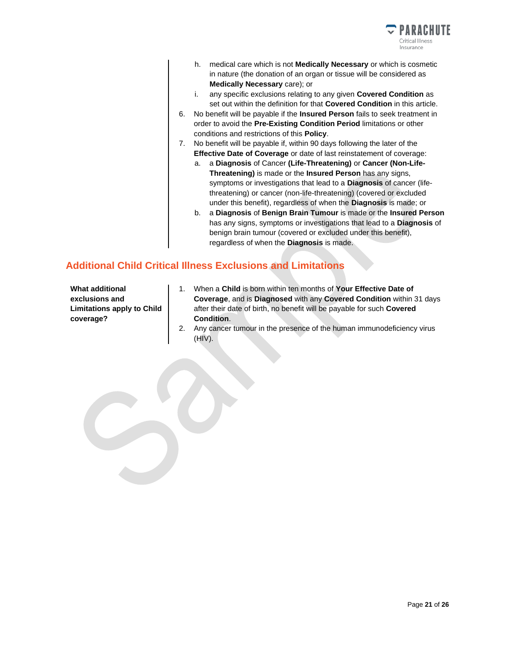

- h. medical care which is not **Medically Necessary** or which is cosmetic in nature (the donation of an organ or tissue will be considered as **Medically Necessary** care); or
- i. any specific exclusions relating to any given **Covered Condition** as set out within the definition for that **Covered Condition** in this article.
- 6. No benefit will be payable if the **Insured Person** fails to seek treatment in order to avoid the **Pre-Existing Condition Period** limitations or other conditions and restrictions of this **Policy**.
- 7. No benefit will be payable if, within 90 days following the later of the **Effective Date of Coverage** or date of last reinstatement of coverage:
	- a. a **Diagnosis** of Cancer **(Life-Threatening)** or **Cancer (Non-Life-Threatening)** is made or the **Insured Person** has any signs, symptoms or investigations that lead to a **Diagnosis** of cancer (lifethreatening) or cancer (non-life-threatening) (covered or excluded under this benefit), regardless of when the **Diagnosis** is made; or
	- b. a **Diagnosis** of **Benign Brain Tumour** is made or the **Insured Person** has any signs, symptoms or investigations that lead to a **Diagnosis** of benign brain tumour (covered or excluded under this benefit), regardless of when the **Diagnosis** is made.

### **Additional Child Critical Illness Exclusions and Limitations**

**What additional exclusions and Limitations apply to Child coverage?**

- 1. When a **Child** is born within ten months of **Your Effective Date of Coverage**, and is **Diagnosed** with any **Covered Condition** within 31 days after their date of birth, no benefit will be payable for such **Covered Condition**.
- 2. Any cancer tumour in the presence of the human immunodeficiency virus (HIV).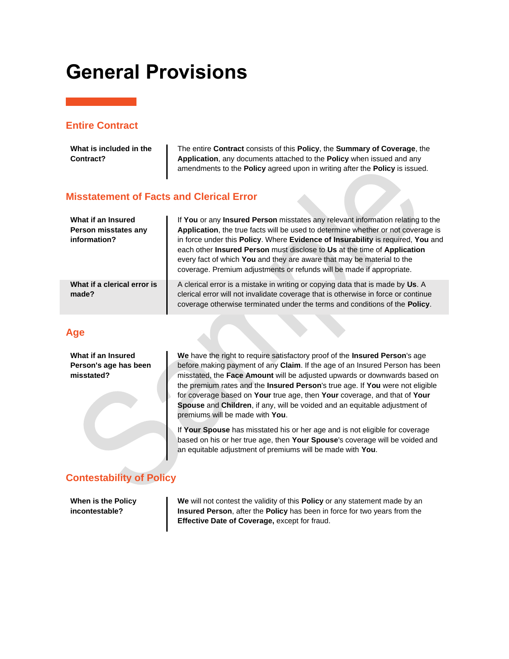## <span id="page-21-0"></span>**General Provisions**

#### **Entire Contract**

| What is included in the<br>Contract?                       | The entire <b>Contract</b> consists of this <b>Policy</b> , the <b>Summary of Coverage</b> , the<br>Application, any documents attached to the Policy when issued and any<br>amendments to the Policy agreed upon in writing after the Policy is issued.                                                                                                                                                                                                                              |
|------------------------------------------------------------|---------------------------------------------------------------------------------------------------------------------------------------------------------------------------------------------------------------------------------------------------------------------------------------------------------------------------------------------------------------------------------------------------------------------------------------------------------------------------------------|
| <b>Misstatement of Facts and Clerical Error</b>            |                                                                                                                                                                                                                                                                                                                                                                                                                                                                                       |
| What if an Insured<br>Person misstates any<br>information? | If You or any Insured Person misstates any relevant information relating to the<br>Application, the true facts will be used to determine whether or not coverage is<br>in force under this Policy. Where Evidence of Insurability is required, You and<br>each other Insured Person must disclose to Us at the time of Application<br>every fact of which You and they are aware that may be material to the<br>coverage. Premium adjustments or refunds will be made if appropriate. |
| What if a clerical error is<br>made?                       | A clerical error is a mistake in writing or copying data that is made by Us. A<br>clerical error will not invalidate coverage that is otherwise in force or continue<br>coverage otherwise terminated under the terms and conditions of the <b>Policy</b> .                                                                                                                                                                                                                           |

### **Age**

**What if an Insured Person's age has been misstated?**

**We** have the right to require satisfactory proof of the **Insured Person**'s age before making payment of any **Claim**. If the age of an Insured Person has been misstated, the **Face Amount** will be adjusted upwards or downwards based on the premium rates and the **Insured Person**'s true age. If **You** were not eligible for coverage based on **Your** true age, then **Your** coverage, and that of **Your Spouse** and **Children**, if any, will be voided and an equitable adjustment of premiums will be made with **You**.

If **Your Spouse** has misstated his or her age and is not eligible for coverage based on his or her true age, then **Your Spouse**'s coverage will be voided and an equitable adjustment of premiums will be made with **You**.

## **Contestability of Policy**

**When is the Policy incontestable?**

**We** will not contest the validity of this **Policy** or any statement made by an **Insured Person**, after the **Policy** has been in force for two years from the **Effective Date of Coverage,** except for fraud.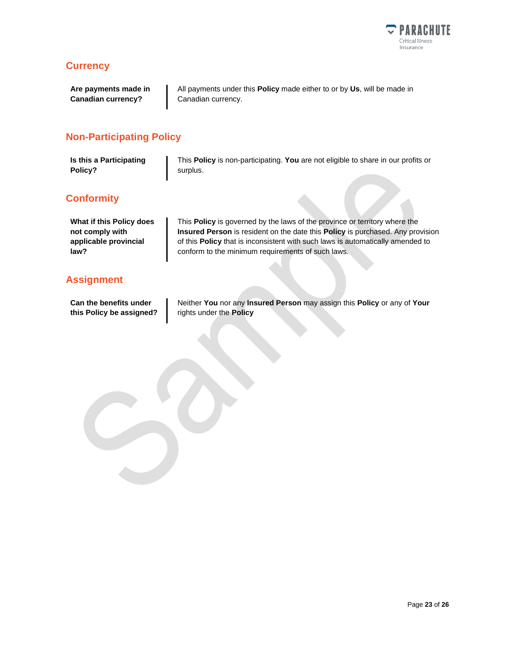

### **Currency**

**Are payments made in Canadian currency?**

All payments under this **Policy** made either to or by **Us**, will be made in Canadian currency.

### **Non-Participating Policy**

| Is this a Participating | This Policy is non-participating. You are not eligible to share in our profits or |
|-------------------------|-----------------------------------------------------------------------------------|
| Policy?                 | surplus.                                                                          |

### **Conformity**

| What if this Policy does |
|--------------------------|
| not comply with          |
| applicable provincial    |
| law?                     |

### **Assignment**

**Can the benefits under this Policy be assigned?** This **Policy** is governed by the laws of the province or territory where the **Insured Person** is resident on the date this **Policy** is purchased. Any provision of this **Policy** that is inconsistent with such laws is automatically amended to conform to the minimum requirements of such laws.

Neither **You** nor any **Insured Person** may assign this **Policy** or any of **Your** rights under the **Policy**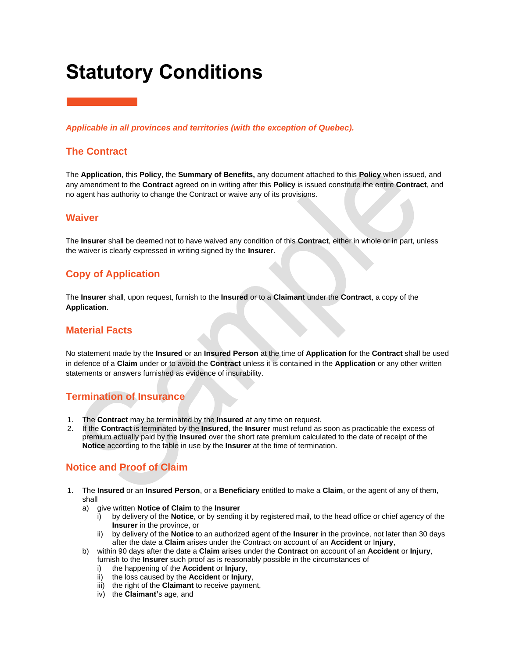# <span id="page-23-0"></span>**Statutory Conditions**

*Applicable in all provinces and territories (with the exception of Quebec).*

#### **The Contract**

The **Application**, this **Policy**, the **Summary of Benefits,** any document attached to this **Policy** when issued, and any amendment to the **Contract** agreed on in writing after this **Policy** is issued constitute the entire **Contract**, and no agent has authority to change the Contract or waive any of its provisions.

#### **Waiver**

The **Insurer** shall be deemed not to have waived any condition of this **Contract**, either in whole or in part, unless the waiver is clearly expressed in writing signed by the **Insurer**.

### **Copy of Application**

The **Insurer** shall, upon request, furnish to the **Insured** or to a **Claimant** under the **Contract**, a copy of the **Application**.

#### **Material Facts**

No statement made by the **Insured** or an **Insured Person** at the time of **Application** for the **Contract** shall be used in defence of a **Claim** under or to avoid the **Contract** unless it is contained in the **Application** or any other written statements or answers furnished as evidence of insurability.

#### **Termination of Insurance**

- 1. The **Contract** may be terminated by the **Insured** at any time on request.
- 2. If the **Contract** is terminated by the **Insured**, the **Insurer** must refund as soon as practicable the excess of premium actually paid by the **Insured** over the short rate premium calculated to the date of receipt of the **Notice** according to the table in use by the **Insurer** at the time of termination.

### **Notice and Proof of Claim**

- 1. The **Insured** or an **Insured Person**, or a **Beneficiary** entitled to make a **Claim**, or the agent of any of them, shall
	- a) give written **Notice of Claim** to the **Insurer**
		- i) by delivery of the **Notice**, or by sending it by registered mail, to the head office or chief agency of the **Insurer** in the province, or
		- by delivery of the **Notice** to an authorized agent of the **Insurer** in the province, not later than 30 days after the date a **Claim** arises under the Contract on account of an **Accident** or I**njury**,
	- b) within 90 days after the date a **Claim** arises under the **Contract** on account of an **Accident** or **Injury**, furnish to the **Insurer** such proof as is reasonably possible in the circumstances of
		- i) the happening of the **Accident** or **Injury**,
		- ii) the loss caused by the **Accident** or **Injury**,
		- iii) the right of the **Claimant** to receive payment,
		- iv) the **Claimant'**s age, and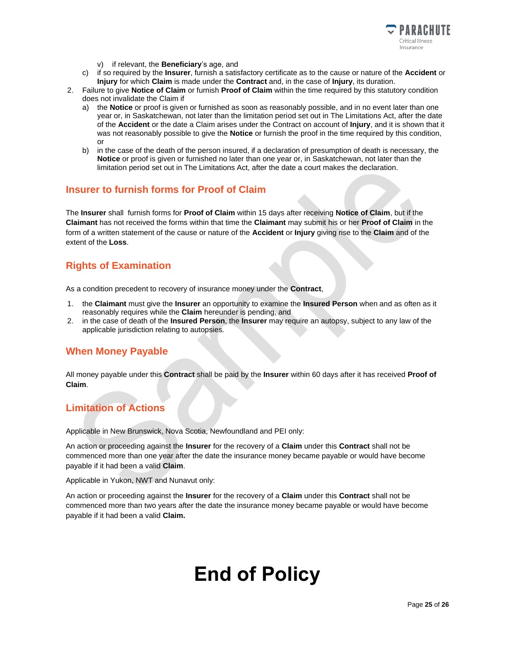

- v) if relevant, the **Beneficiary**'s age, and
- c) if so required by the **Insurer**, furnish a satisfactory certificate as to the cause or nature of the **Accident** or **Injury** for which **Claim** is made under the **Contract** and, in the case of **Injury**, its duration.
- 2. Failure to give **Notice of Claim** or furnish **Proof of Claim** within the time required by this statutory condition does not invalidate the Claim if
	- a) the **Notice** or proof is given or furnished as soon as reasonably possible, and in no event later than one year or, in Saskatchewan, not later than the limitation period set out in The Limitations Act, after the date of the **Accident** or the date a Claim arises under the Contract on account of **Injury**, and it is shown that it was not reasonably possible to give the **Notice** or furnish the proof in the time required by this condition, or
	- b) in the case of the death of the person insured, if a declaration of presumption of death is necessary, the **Notice** or proof is given or furnished no later than one year or, in Saskatchewan, not later than the limitation period set out in The Limitations Act, after the date a court makes the declaration.

#### **Insurer to furnish forms for Proof of Claim**

The **Insurer** shall furnish forms for **Proof of Claim** within 15 days after receiving **Notice of Claim**, but if the **Claimant** has not received the forms within that time the **Claimant** may submit his or her **Proof of Claim** in the form of a written statement of the cause or nature of the **Accident** or **Injury** giving rise to the **Claim** and of the extent of the **Loss**.

### **Rights of Examination**

As a condition precedent to recovery of insurance money under the **Contract**,

- 1. the **Claimant** must give the **Insurer** an opportunity to examine the **Insured Person** when and as often as it reasonably requires while the **Claim** hereunder is pending, and
- 2. in the case of death of the **Insured Person**, the **Insurer** may require an autopsy, subject to any law of the applicable jurisdiction relating to autopsies.

### **When Money Payable**

All money payable under this **Contract** shall be paid by the **Insurer** within 60 days after it has received **Proof of Claim**.

### **Limitation of Actions**

Applicable in New Brunswick, Nova Scotia, Newfoundland and PEI only:

An action or proceeding against the **Insurer** for the recovery of a **Claim** under this **Contract** shall not be commenced more than one year after the date the insurance money became payable or would have become payable if it had been a valid **Claim**.

#### Applicable in Yukon, NWT and Nunavut only:

An action or proceeding against the **Insurer** for the recovery of a **Claim** under this **Contract** shall not be commenced more than two years after the date the insurance money became payable or would have become payable if it had been a valid **Claim.**

## **End of Policy**